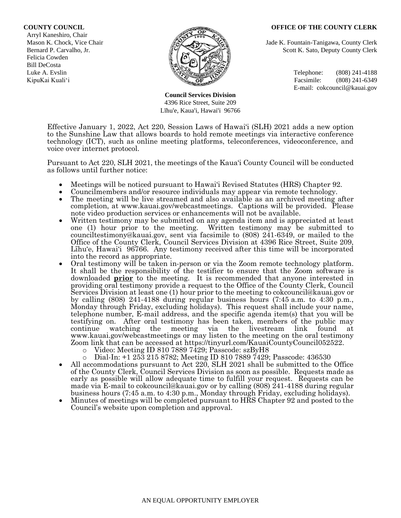## **COUNTY COUNCIL OFFICE OF THE COUNTY CLERK**

 Arryl Kaneshiro, Chair Felicia Cowden Bill DeCosta



**Council Services Division** 4396 Rice Street, Suite 209 Līhu'e, Kaua'i, Hawai'i 96766

Mason K. Chock, Vice Chair **Jade K. Fountain-Tanigawa, County Clerk** Jade K. Fountain-Tanigawa, County Clerk Bernard P. Carvalho, Jr. Scott K. Sato, Deputy County Clerk

Luke A. Evslin  $\mathbb{R}^n$  Telephone: (808) 241-4188 KipuKai Kuali'i Facsimile: (808) 241-6349 E-mail: cokcouncil@kauai.gov

Effective January 1, 2022, Act 220, Session Laws of Hawai'i (SLH) 2021 adds a new option to the Sunshine Law that allows boards to hold remote meetings via interactive conference technology (ICT), such as online meeting platforms, teleconferences, videoconference, and voice over internet protocol.

Pursuant to Act 220, SLH 2021, the meetings of the Kaua'i County Council will be conducted as follows until further notice:

- Meetings will be noticed pursuant to Hawai'i Revised Statutes (HRS) Chapter 92.
- Councilmembers and/or resource individuals may appear via remote technology.
- The meeting will be live streamed and also available as an archived meeting after completion, at www.kauai.gov/webcastmeetings. Captions will be provided. Please note video production services or enhancements will not be available.
- Written testimony may be submitted on any agenda item and is appreciated at least one (1) hour prior to the meeting. Written testimony may be submitted to counciltestimony@kauai.gov, sent via facsimile to (808) 241-6349, or mailed to the Office of the County Clerk, Council Services Division at 4396 Rice Street, Suite 209, Līhu'e, Hawai'i 96766. Any testimony received after this time will be incorporated into the record as appropriate.
- Oral testimony will be taken in-person or via the Zoom remote technology platform. It shall be the responsibility of the testifier to ensure that the Zoom software is downloaded **prior** to the meeting. It is recommended that anyone interested in providing oral testimony provide a request to the Office of the County Clerk, Council Services Division at least one (1) hour prior to the meeting to cokcouncil@kauai.gov or by calling (808) 241-4188 during regular business hours (7:45 a.m. to 4:30 p.m., Monday through Friday, excluding holidays). This request shall include your name, telephone number, E-mail address, and the specific agenda item(s) that you will be testifying on. After oral testimony has been taken, members of the public may continue watching the meeting via the livestream link found at www.kauai.gov/webcastmeetings or may listen to the meeting on the oral testimony Zoom link that can be accessed at https://tinyurl.com/KauaiCountyCouncil052522.
	- o Video: Meeting ID 810 7889 7429; Passcode: szByH8
	- o Dial-In: +1 253 215 8782; Meeting ID 810 7889 7429; Passcode: 436530
- All accommodations pursuant to Act 220, SLH 2021 shall be submitted to the Office of the County Clerk, Council Services Division as soon as possible. Requests made as early as possible will allow adequate time to fulfill your request. Requests can be made via E-mail to cokcouncil@kauai.gov or by calling (808) 241-4188 during regular business hours (7:45 a.m. to 4:30 p.m., Monday through Friday, excluding holidays).
- Minutes of meetings will be completed pursuant to HRS Chapter 92 and posted to the Council's website upon completion and approval.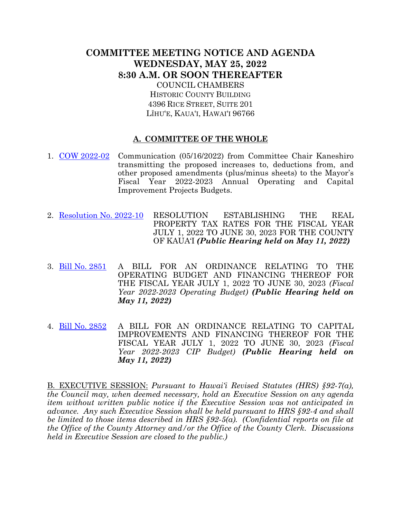## **COMMITTEE MEETING NOTICE AND AGENDA WEDNESDAY, MAY 25, 2022 8:30 A.M. OR SOON THEREAFTER** COUNCIL CHAMBERS

HISTORIC COUNTY BUILDING 4396 RICE STREET, SUITE 201 LĪHU'E, KAUA'I, HAWAI'I 96766

## **A. COMMITTEE OF THE WHOLE**

- 1. [COW 2022-02](https://kauai.granicus.com/MetaViewer.php?meta_id=160399) Communication (05/16/2022) from Committee Chair Kaneshiro transmitting the proposed increases to, deductions from, and other proposed amendments (plus/minus sheets) to the Mayor's Fiscal Year 2022-2023 Annual Operating and Capital Improvement Projects Budgets.
- 2. [Resolution No. 2022-10](https://kauai.granicus.com/MetaViewer.php?meta_id=160401) RESOLUTION ESTABLISHING THE REAL PROPERTY TAX RATES FOR THE FISCAL YEAR JULY 1, 2022 TO JUNE 30, 2023 FOR THE COUNTY OF KAUA'I *(Public Hearing held on May 11, 2022)*
- 3. [Bill No. 2851](https://kauai.granicus.com/MetaViewer.php?meta_id=160403) A BILL FOR AN ORDINANCE RELATING TO THE OPERATING BUDGET AND FINANCING THEREOF FOR THE FISCAL YEAR JULY 1, 2022 TO JUNE 30, 2023 *(Fiscal Year 2022-2023 Operating Budget) (Public Hearing held on May 11, 2022)*
- 4. [Bill No. 2852](https://kauai.granicus.com/MetaViewer.php?meta_id=160405) A BILL FOR AN ORDINANCE RELATING TO CAPITAL IMPROVEMENTS AND FINANCING THEREOF FOR THE FISCAL YEAR JULY 1, 2022 TO JUNE 30, 2023 *(Fiscal Year 2022-2023 CIP Budget) (Public Hearing held on May 11, 2022)*

B. EXECUTIVE SESSION: *Pursuant to Hawai'i Revised Statutes (HRS) §92-7(a), the Council may, when deemed necessary, hold an Executive Session on any agenda item without written public notice if the Executive Session was not anticipated in advance. Any such Executive Session shall be held pursuant to HRS §92-4 and shall be limited to those items described in HRS §92-5(a). (Confidential reports on file at the Office of the County Attorney and/or the Office of the County Clerk. Discussions held in Executive Session are closed to the public.)*